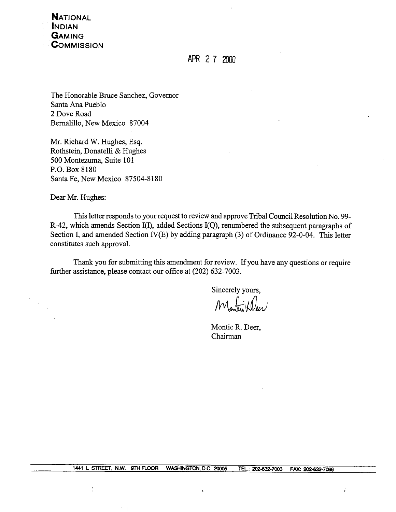**NATIONAL INDIAN** GAMING **COMMISSION** 

APR 2 7 2000

The Honorable Bruce Sanchez, Governor Santa Ana Pueblo 2 Dove Road Bernalillo, New Mexico 87004

Mr. Richard W. Hughes, Esq. Rothstein, Donatelli & Hughes 500 Montezuma, Suite 101 P.O. Box 8180 Santa Fe, New Mexico 87504-8180

Dear Mr. Hughes:

This letter responds to your request to review and approve Tribal Council Resolution No. 99-R-42, which amends Section I(I), added Sections I(Q), renumbered the subsequent paragraphs of Section I, and amended Section IV(E) by adding paragraph (3) of Ordinance 92-0-04. This letter constitutes such approval.

Thank you for submitting this amendment for review. If you have any questions or require further assistance, please contact our office at (202) 632-7003.

Sincerely yours,

 $M_{\bullet}$ 

Montie R. Deer, Chairman

 $\ddot{\dot{\mathrm{s}}}$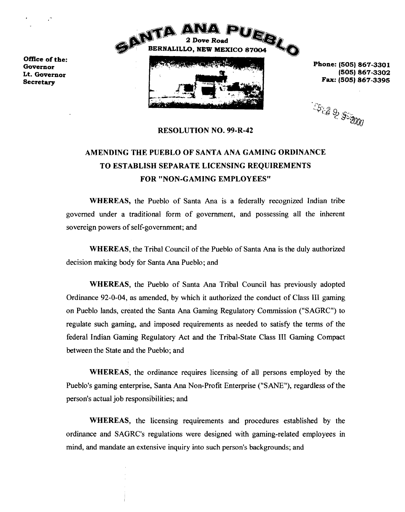

**Phone: (505) 867-3301 F: (505) <sup>867</sup> <sup>3395</sup>**

**ARS & SESDOU** 

**RESOLUTION NO. 99-R-42**

## **AMENDING THE PUEBLO OF SANTA ANA GAMING ORDINANCE TO ESTABLISH SEPARATE LICENSING REQUIREMENTS FOR NON-GAMING EMPLOYEES**

**WHEREAS, the Pueblo of Santa Ana is <sup>a</sup> federally recognized Indian tribe governed under a traditional form of government, and possessing all the inherent sovereign powers of self-government; and**

**WHEREAS, the Tribal Council of the Pueblo of Santa Ma is the duly authorized decision making body for Santa Ana Pueblo; and**

**WHEREAS, the Pueblo of Santa Ma Tribal Council has previously adopted Ordinance 92-0-04, as amended, by which it authorized the conduct of Class III gaming on Pueblo lands, created the Santa Ma Gaming Regulatory Commission (SAGRC) to regulate** such gaming, and imposed requirements as needed to satisfy the terms of the **federal Indian Gaming Regulatory Act and the Tribal-State Class III Gaming Compact between the State and the Pueblo; and**

**WHEREAS, the ordinance requires licensing of all persons employed by the Pueblos gaming enterprise, Santa Ana Non-Profit Enterprise (SANE), regardless of the persons actual job responsibilities; and**

**WHEREAS, the licensing requirements and procedures established by the ordinance and SAGRCs regulations were designed with gaming-related employees in mind, and mandate an extensive inquiry into such person's backgrounds; and** 

Office of the: Governor Lt. Governor Secretary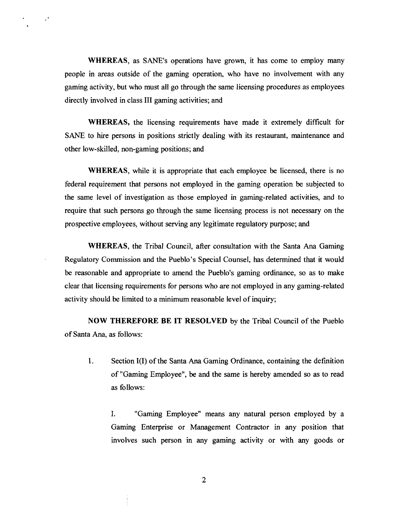**WHEREAS, as SANEs operations have grown, it has come to employ many people in &eas outside of the gaming operation, who have no involvement with any gaming activity, but who must all go through the same licensing procedures as employees directly involved in class III gaming activities; and**

 $\mathcal{I}^{\bullet}$ 

**WHEREAS, the licensing requirements have made it extremely difficult for SANE to hire persons in positions strictly dealing with its restaurant, maintenance and other low-skilled, non-gaming positions; and**

**WHEREAS, while it is appropriate that each employee be licensed, there is no federal requirement that persons not employed in the gaming operation be subjected to the same level of investigation as those employed in gaming-related activities, and to require that such persons go through the same licensing process is not necessary on the prospective employees, without serving any legitimate regulatory purpose; and**

**WHEREAS, the Tribal Council, after consultation with the Santa Ana Gaming Regulatory** Commission and the Pueblo's Special Counsel, has determined that it would **be reasonable and appropriate to amend the Pueblos gaming ordinance, so as to make clear that licensing requirements for persons who are not employed in any gaming-related activity should be limited to <sup>a</sup> minimum reasonable level of inquiry;**

**NOW THEREFORE BE IT RESOLVED by the Tribal Council of the Pueblo of Santa Ana, as follows:**

**1. Section 1(I) of the Santa Ana Gaming Ordinance, containing the defmition of Gaming Employee, be and the same is hereby amended so as to read as follows:**

**I. Gaming Employee means any natural person employed by a Gaming Enterprise or Management Contractor in any position that involves such person in any gaming activity or with any goods or**

**2**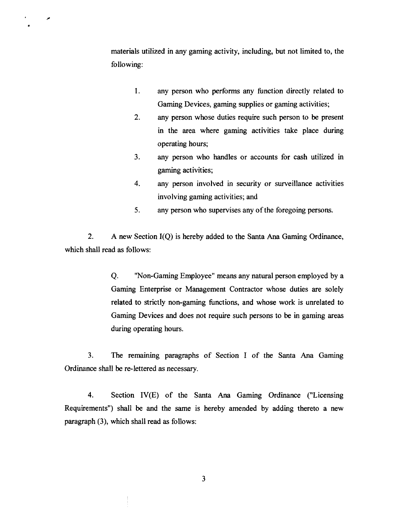**materials utilized in any gaming activity, including, but not limited to, the following:**

مو

- **1. any person who performs any function directly related to Gaming Devices, gaming supplies or gaming activities;**
- **2. any person whose duties require such person to be present in the area where gaming activities take place during operating hours;**
- **3. any person who handles or accounts for cash utilized in gaming activities;**
- **4. any person involved in security or surveillance activities involving gaming activities; and**
- **5. any person who supervises any of the foregoing persons.**

**2. A new Section 1(Q) is hereby added to the Santa Ma Gaming Ordinance, which shall read as follows:**

> **Q. Non-Gaming Employee means any natural person employed by <sup>a</sup> Gaming Enterprise or Management Contractor whose duties are solely related to strictly non-gaming functions, and whose work is unrelated to Gaming Devices and does not require such persons to be in gaming areas during operating hours.**

**3. The remaining paragraphs of Section <sup>I</sup> of the Santa Ma Gaming Ordinance shall be re-lettered as necessary.**

**4. Section IV(E) of the Santa Ana Gaming Ordinance (Licensing Requirements) shall be and the same is hereby amended by adding thereto a new paragraph (3), which shall read as follows:**